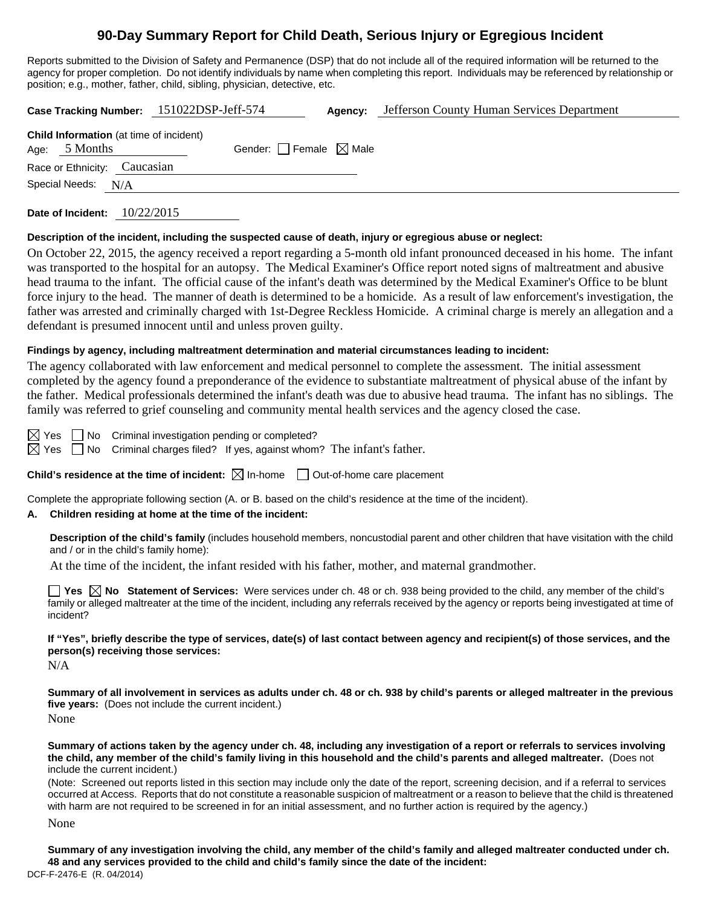# **90-Day Summary Report for Child Death, Serious Injury or Egregious Incident**

Reports submitted to the Division of Safety and Permanence (DSP) that do not include all of the required information will be returned to the agency for proper completion. Do not identify individuals by name when completing this report. Individuals may be referenced by relationship or position; e.g., mother, father, child, sibling, physician, detective, etc.

**Case Tracking Number:** 151022DSP-Jeff-574 **Agency:** Jefferson County Human Services Department **Child Information** (at time of incident) Age:  $5$  Months Gender: Female  $\boxtimes$  Male Race or Ethnicity: Caucasian Special Needs: N/A

**Date of Incident:** 10/22/2015

#### **Description of the incident, including the suspected cause of death, injury or egregious abuse or neglect:**

On October 22, 2015, the agency received a report regarding a 5-month old infant pronounced deceased in his home. The infant was transported to the hospital for an autopsy. The Medical Examiner's Office report noted signs of maltreatment and abusive head trauma to the infant. The official cause of the infant's death was determined by the Medical Examiner's Office to be blunt force injury to the head. The manner of death is determined to be a homicide. As a result of law enforcement's investigation, the father was arrested and criminally charged with 1st-Degree Reckless Homicide. A criminal charge is merely an allegation and a defendant is presumed innocent until and unless proven guilty.

### **Findings by agency, including maltreatment determination and material circumstances leading to incident:**

The agency collaborated with law enforcement and medical personnel to complete the assessment. The initial assessment completed by the agency found a preponderance of the evidence to substantiate maltreatment of physical abuse of the infant by the father. Medical professionals determined the infant's death was due to abusive head trauma. The infant has no siblings. The family was referred to grief counseling and community mental health services and the agency closed the case.

 $\boxtimes$  Yes  $\Box$  No Criminal investigation pending or completed?

 $\boxtimes$  Yes  $\Box$  No Criminal charges filed? If yes, against whom? The infant's father.

**Child's residence at the time of incident:**  $\boxtimes$  In-home  $\Box$  Out-of-home care placement

Complete the appropriate following section (A. or B. based on the child's residence at the time of the incident).

### **A. Children residing at home at the time of the incident:**

**Description of the child's family** (includes household members, noncustodial parent and other children that have visitation with the child and / or in the child's family home):

At the time of the incident, the infant resided with his father, mother, and maternal grandmother.

**Yes No Statement of Services:** Were services under ch. 48 or ch. 938 being provided to the child, any member of the child's family or alleged maltreater at the time of the incident, including any referrals received by the agency or reports being investigated at time of incident?

**If "Yes", briefly describe the type of services, date(s) of last contact between agency and recipient(s) of those services, and the person(s) receiving those services:** 

N/A

**Summary of all involvement in services as adults under ch. 48 or ch. 938 by child's parents or alleged maltreater in the previous five years:** (Does not include the current incident.) None

**Summary of actions taken by the agency under ch. 48, including any investigation of a report or referrals to services involving the child, any member of the child's family living in this household and the child's parents and alleged maltreater.** (Does not include the current incident.)

(Note: Screened out reports listed in this section may include only the date of the report, screening decision, and if a referral to services occurred at Access. Reports that do not constitute a reasonable suspicion of maltreatment or a reason to believe that the child is threatened with harm are not required to be screened in for an initial assessment, and no further action is required by the agency.)

None

DCF-F-2476-E (R. 04/2014) **Summary of any investigation involving the child, any member of the child's family and alleged maltreater conducted under ch. 48 and any services provided to the child and child's family since the date of the incident:**